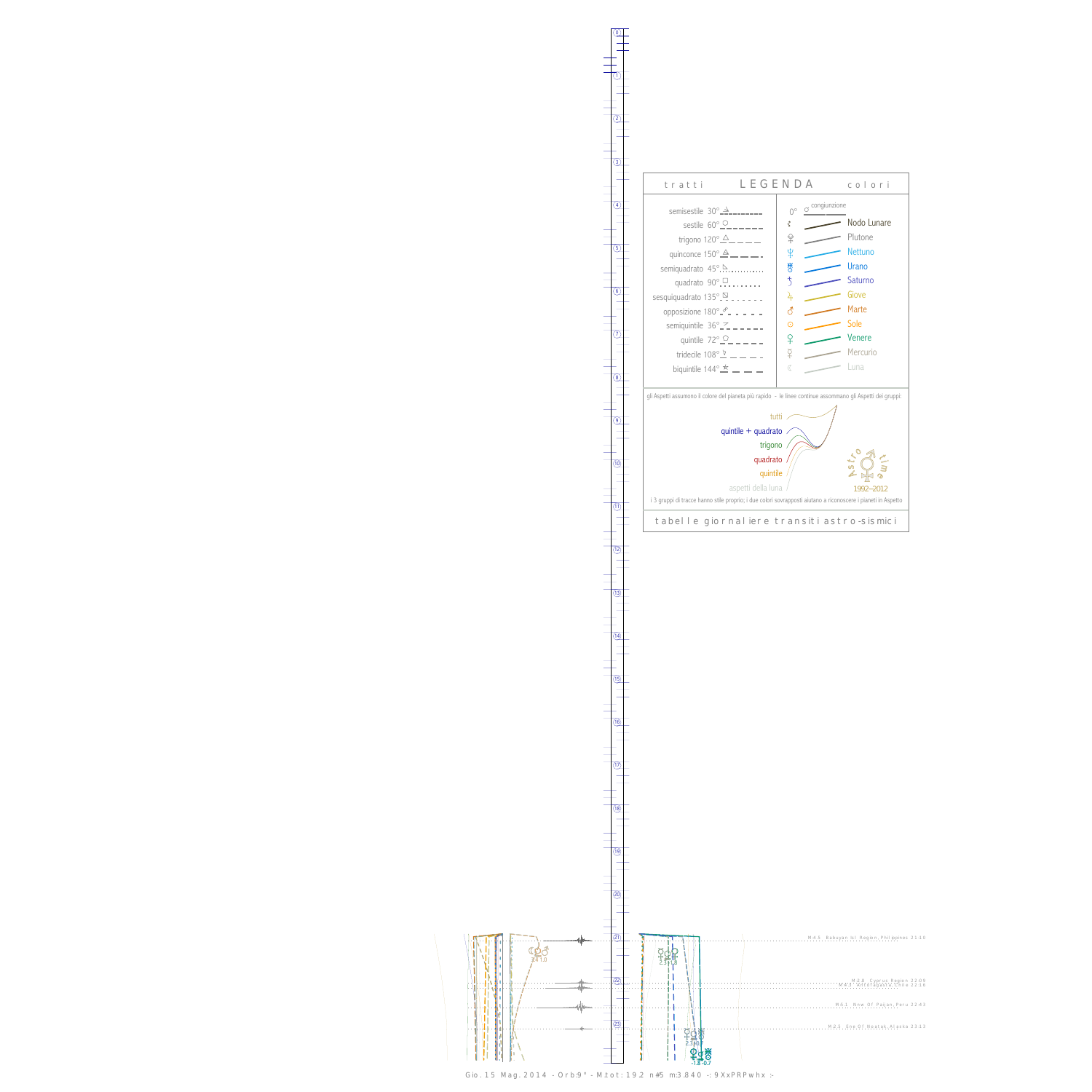0

1





Gio. 15 Mag. 2014 - Orb:9° - M.tot: 19.2 n#5 m:3.840 -: 9XxPRPwhx :-

 $(13)$